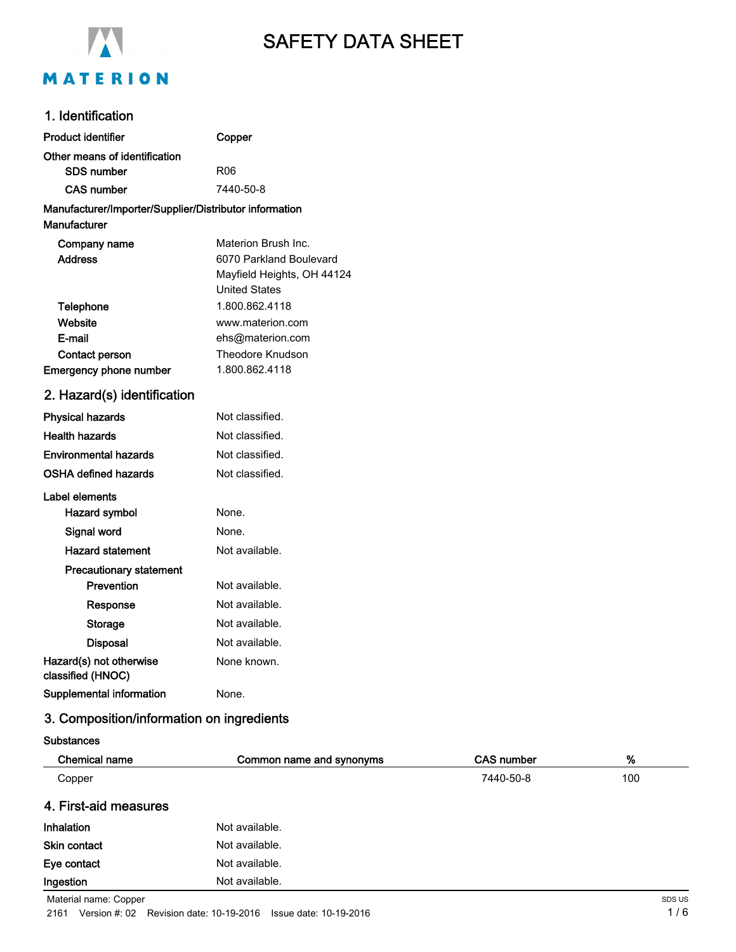

# SAFETY DATA SHEET

## 1. Identification

| <b>Product identifier</b>                              | Copper                             |
|--------------------------------------------------------|------------------------------------|
| Other means of identification                          |                                    |
| SDS number                                             | R06                                |
| <b>CAS number</b>                                      | 7440-50-8                          |
| Manufacturer/Importer/Supplier/Distributor information |                                    |
| <b>Manufacturer</b>                                    |                                    |
| Company name                                           | Materion Brush Inc.                |
| <b>Address</b>                                         | 6070 Parkland Boulevard            |
|                                                        | Mayfield Heights, OH 44124         |
|                                                        | <b>United States</b>               |
| Telephone                                              | 1.800.862.4118                     |
| Website                                                | www.materion.com                   |
| E-mail                                                 | ehs@materion.com                   |
| <b>Contact person</b>                                  | Theodore Knudson<br>1.800.862.4118 |
| <b>Emergency phone number</b>                          |                                    |
| 2. Hazard(s) identification                            |                                    |
| <b>Physical hazards</b>                                | Not classified.                    |
| <b>Health hazards</b>                                  | Not classified.                    |
| <b>Environmental hazards</b>                           | Not classified.                    |
| <b>OSHA defined hazards</b>                            | Not classified.                    |
| Label elements                                         |                                    |
| <b>Hazard symbol</b>                                   | None.                              |
| Signal word                                            | None.                              |
| <b>Hazard statement</b>                                | Not available.                     |
| <b>Precautionary statement</b>                         |                                    |
| Prevention                                             | Not available.                     |
| Response                                               | Not available.                     |
| Storage                                                | Not available.                     |
| <b>Disposal</b>                                        | Not available.                     |
| Hazard(s) not otherwise<br>classified (HNOC)           | None known.                        |
| <b>Supplemental information</b>                        | None.                              |

### 3. Composition/information on ingredients

**Substances** 

| Chemical name         | Common name and synonyms | <b>CAS number</b> | %   |
|-----------------------|--------------------------|-------------------|-----|
| Copper                |                          | 7440-50-8         | 100 |
| 4. First-aid measures |                          |                   |     |
| Inhalation            | Not available.           |                   |     |
| Skin contact          | Not available.           |                   |     |
| Eye contact           | Not available.           |                   |     |
| Ingestion             | Not available.           |                   |     |

Material name: Copper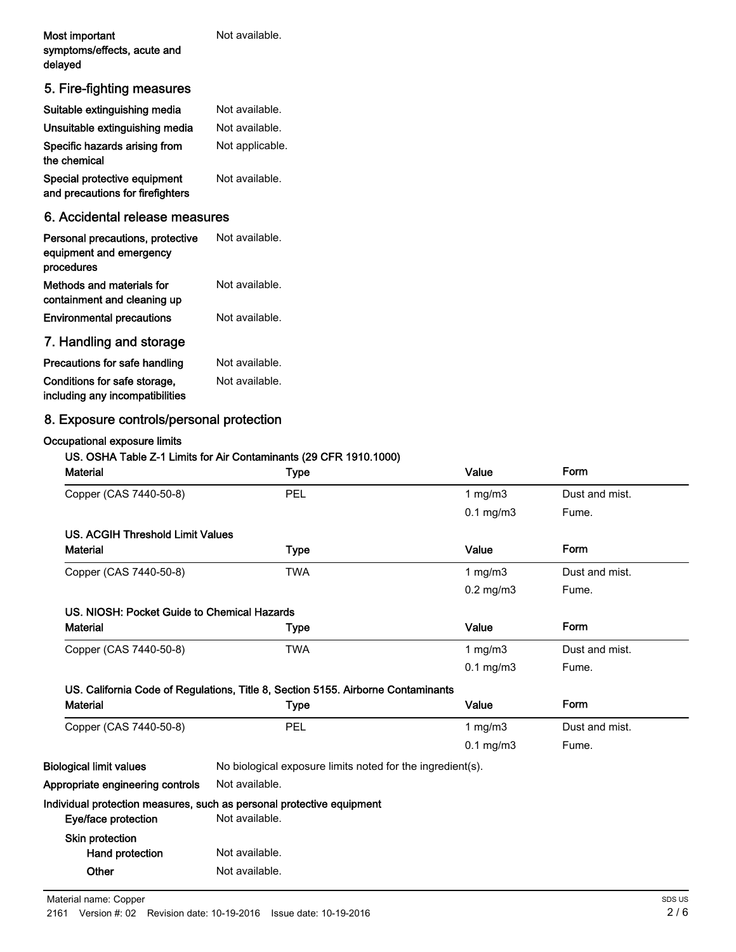| Most important              | Not available. |
|-----------------------------|----------------|
| symptoms/effects, acute and |                |
| delayed                     |                |

# 5. Fire-fighting measures

| Suitable extinguishing media                                     | Not available.  |
|------------------------------------------------------------------|-----------------|
| Unsuitable extinguishing media                                   | Not available.  |
| Specific hazards arising from<br>the chemical                    | Not applicable. |
| Special protective equipment<br>and precautions for firefighters | Not available.  |

#### 6. Accidental release measures

| Personal precautions, protective<br>equipment and emergency<br>procedures | Not available. |
|---------------------------------------------------------------------------|----------------|
| Methods and materials for<br>containment and cleaning up                  | Not available. |
| <b>Environmental precautions</b>                                          | Not available. |
| 7. Handling and storage                                                   |                |

| Precautions for safe handling   | Not available. |
|---------------------------------|----------------|
| Conditions for safe storage,    | Not available. |
| including any incompatibilities |                |

# 8. Exposure controls/personal protection

#### Occupational exposure limits

#### US. OSHA Table Z-1 Limits for Air Contaminants (29 CFR 1910.1000)

| <b>Material</b>                             | <b>Type</b>                                                                      | Value          | Form           |
|---------------------------------------------|----------------------------------------------------------------------------------|----------------|----------------|
| Copper (CAS 7440-50-8)                      | PEL                                                                              | 1 $mg/m3$      | Dust and mist. |
|                                             |                                                                                  | $0.1$ mg/m $3$ | Fume.          |
| <b>US. ACGIH Threshold Limit Values</b>     |                                                                                  |                |                |
| <b>Material</b>                             | <b>Type</b>                                                                      | Value          | Form           |
| Copper (CAS 7440-50-8)                      | <b>TWA</b>                                                                       | 1 $mg/m3$      | Dust and mist. |
|                                             |                                                                                  | $0.2$ mg/m $3$ | Fume.          |
| US. NIOSH: Pocket Guide to Chemical Hazards |                                                                                  |                |                |
| <b>Material</b>                             | Type                                                                             | Value          | Form           |
| Copper (CAS 7440-50-8)                      | <b>TWA</b>                                                                       | 1 $mg/m3$      | Dust and mist. |
|                                             |                                                                                  | $0.1$ mg/m $3$ | Fume.          |
|                                             | US. California Code of Regulations, Title 8, Section 5155. Airborne Contaminants |                |                |
| <b>Material</b>                             | <b>Type</b>                                                                      | Value          | Form           |
| Copper (CAS 7440-50-8)                      | PEL                                                                              | 1 $mg/m3$      | Dust and mist. |
|                                             |                                                                                  | $0.1$ mg/m $3$ | Fume.          |
| <b>Biological limit values</b>              | No biological exposure limits noted for the ingredient(s).                       |                |                |
| Appropriate engineering controls            | Not available.                                                                   |                |                |
|                                             | Individual protection measures, such as personal protective equipment            |                |                |
| Eye/face protection                         | Not available.                                                                   |                |                |
| Skin protection                             |                                                                                  |                |                |
| Hand protection                             | Not available.                                                                   |                |                |
| Other                                       | Not available.                                                                   |                |                |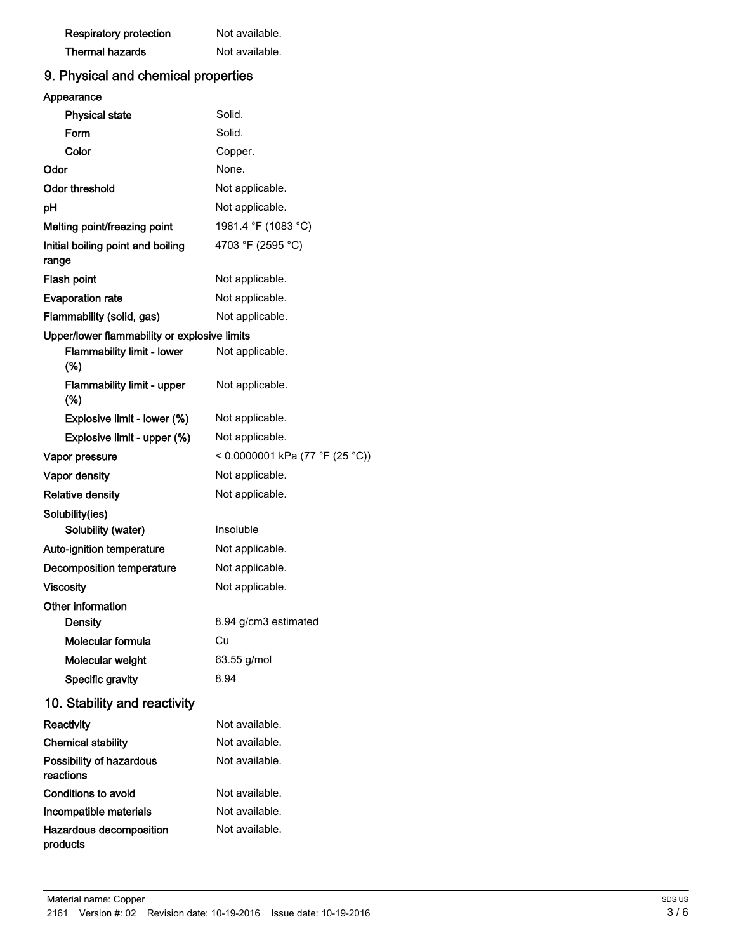| <b>Respiratory protection</b> | Not available. |
|-------------------------------|----------------|
| <b>Thermal hazards</b>        | Not available. |

# 9. Physical and chemical properties

| Appearance                                   |                                 |  |
|----------------------------------------------|---------------------------------|--|
| <b>Physical state</b>                        | Solid.                          |  |
| Form                                         | Solid.                          |  |
| Color                                        | Copper.                         |  |
| Odor                                         | None.                           |  |
| Odor threshold                               | Not applicable.                 |  |
| рH                                           | Not applicable.                 |  |
| Melting point/freezing point                 | 1981.4 °F (1083 °C)             |  |
| Initial boiling point and boiling<br>range   | 4703 °F (2595 °C)               |  |
| Flash point                                  | Not applicable.                 |  |
| <b>Evaporation rate</b>                      | Not applicable.                 |  |
| Flammability (solid, gas)                    | Not applicable.                 |  |
| Upper/lower flammability or explosive limits |                                 |  |
| <b>Flammability limit - lower</b><br>(%)     | Not applicable.                 |  |
| <b>Flammability limit - upper</b><br>(%)     | Not applicable.                 |  |
| Explosive limit - lower (%)                  | Not applicable.                 |  |
| Explosive limit - upper (%)                  | Not applicable.                 |  |
| Vapor pressure                               | < 0.0000001 kPa (77 °F (25 °C)) |  |
| <b>Vapor density</b>                         | Not applicable.                 |  |
| <b>Relative density</b>                      | Not applicable.                 |  |
| Solubility(ies)                              |                                 |  |
| Solubility (water)                           | Insoluble                       |  |
| Auto-ignition temperature                    | Not applicable.                 |  |
| Decomposition temperature                    | Not applicable.                 |  |
| <b>Viscosity</b>                             | Not applicable.                 |  |
| Other information                            |                                 |  |
| <b>Density</b>                               | 8.94 g/cm3 estimated            |  |
| Molecular formula                            | Cu                              |  |
| Molecular weight                             | 63.55 g/mol                     |  |
| <b>Specific gravity</b>                      | 8.94                            |  |
| 10. Stability and reactivity                 |                                 |  |
| Reactivity                                   | Not available.                  |  |
| <b>Chemical stability</b>                    | Not available.                  |  |
| Possibility of hazardous<br>reactions        | Not available.                  |  |
| Conditions to avoid                          | Not available.                  |  |
| Incompatible materials                       | Not available.                  |  |
| Hazardous decomposition<br>products          | Not available.                  |  |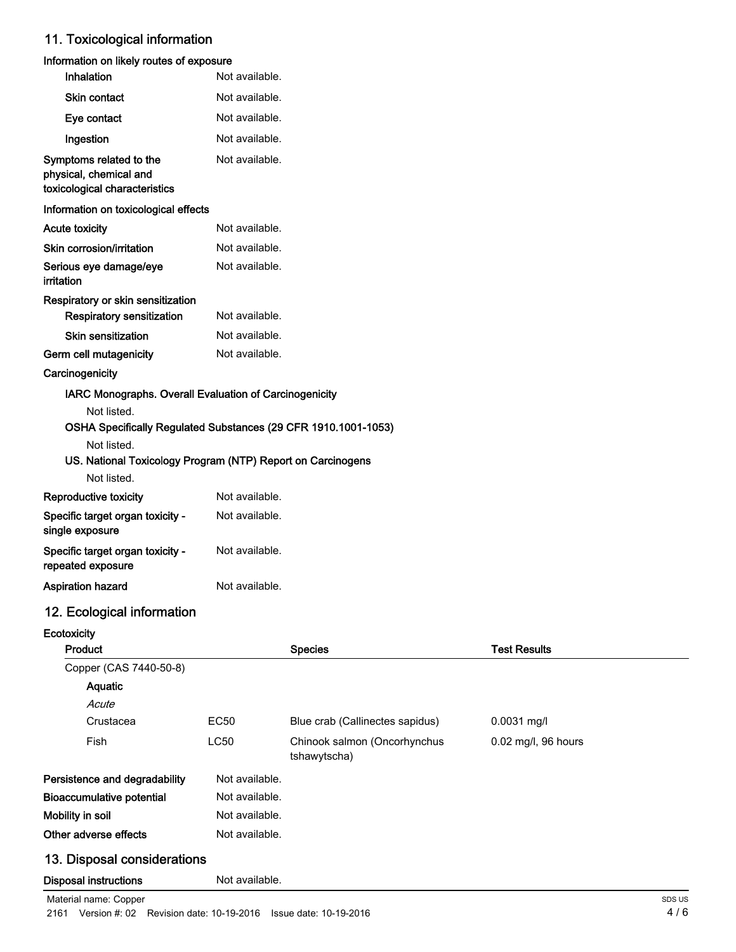### 11. Toxicological information

#### Information on likely routes of exposure

| Inhalation                                                                         | Not available.                                                 |
|------------------------------------------------------------------------------------|----------------------------------------------------------------|
| <b>Skin contact</b>                                                                | Not available.                                                 |
| Eye contact                                                                        | Not available.                                                 |
| Ingestion                                                                          | Not available.                                                 |
| Symptoms related to the<br>physical, chemical and<br>toxicological characteristics | Not available.                                                 |
| Information on toxicological effects                                               |                                                                |
| <b>Acute toxicity</b>                                                              | Not available.                                                 |
| Skin corrosion/irritation                                                          | Not available.                                                 |
| Serious eye damage/eye<br>irritation                                               | Not available.                                                 |
| Respiratory or skin sensitization                                                  |                                                                |
| <b>Respiratory sensitization</b>                                                   | Not available.                                                 |
| Skin sensitization                                                                 | Not available.                                                 |
| Germ cell mutagenicity                                                             | Not available.                                                 |
| Carcinogenicity                                                                    |                                                                |
| <b>IARC Monographs. Overall Evaluation of Carcinogenicity</b>                      |                                                                |
| Not listed.<br>Not listed.                                                         | OSHA Specifically Regulated Substances (29 CFR 1910.1001-1053) |
| LIO, National Textoology Drogram (NITD) Denott on Corolages                        |                                                                |

### US. National Toxicology Program (NTP) Report on Carcinogens

| Not listed.                                           |                |
|-------------------------------------------------------|----------------|
| Reproductive toxicity                                 | Not available. |
| Specific target organ toxicity -<br>single exposure   | Not available. |
| Specific target organ toxicity -<br>repeated exposure | Not available. |
| Aspiration hazard                                     | Not available. |

# 12. Ecological information

### **Ecotoxicity**

| <b>Product</b>                   |                | <b>Species</b>                               | <b>Test Results</b> |
|----------------------------------|----------------|----------------------------------------------|---------------------|
| Copper (CAS 7440-50-8)           |                |                                              |                     |
| Aquatic                          |                |                                              |                     |
| Acute                            |                |                                              |                     |
| Crustacea                        | EC50           | Blue crab (Callinectes sapidus)              | $0.0031$ mg/l       |
| Fish                             | LC50           | Chinook salmon (Oncorhynchus<br>tshawytscha) | 0.02 mg/l, 96 hours |
| Persistence and degradability    | Not available. |                                              |                     |
| <b>Bioaccumulative potential</b> | Not available. |                                              |                     |
| Mobility in soil                 | Not available. |                                              |                     |
| Other adverse effects            | Not available. |                                              |                     |
| 13. Disposal considerations      |                |                                              |                     |
| <b>Disposal instructions</b>     | Not available. |                                              |                     |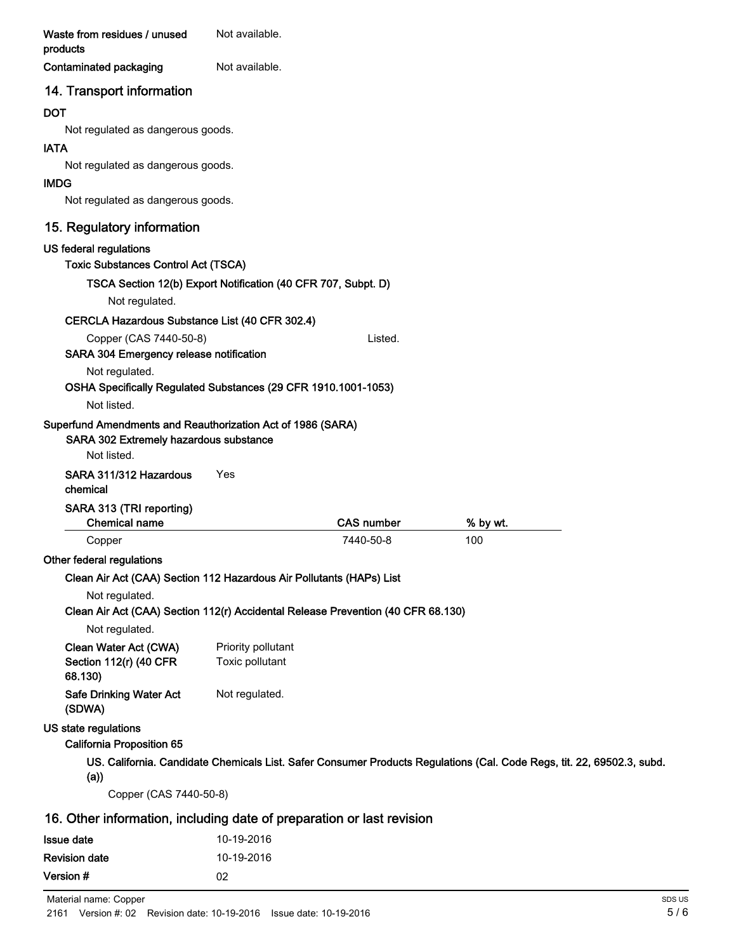| Waste from residues / unused<br>products                                                                             | Not available.     |                   |          |                                                                                                                        |
|----------------------------------------------------------------------------------------------------------------------|--------------------|-------------------|----------|------------------------------------------------------------------------------------------------------------------------|
| Contaminated packaging                                                                                               | Not available.     |                   |          |                                                                                                                        |
| 14. Transport information                                                                                            |                    |                   |          |                                                                                                                        |
| <b>DOT</b>                                                                                                           |                    |                   |          |                                                                                                                        |
| Not regulated as dangerous goods.                                                                                    |                    |                   |          |                                                                                                                        |
| <b>IATA</b>                                                                                                          |                    |                   |          |                                                                                                                        |
| Not regulated as dangerous goods.                                                                                    |                    |                   |          |                                                                                                                        |
| <b>IMDG</b>                                                                                                          |                    |                   |          |                                                                                                                        |
| Not regulated as dangerous goods.                                                                                    |                    |                   |          |                                                                                                                        |
| 15. Regulatory information                                                                                           |                    |                   |          |                                                                                                                        |
| US federal regulations                                                                                               |                    |                   |          |                                                                                                                        |
| <b>Toxic Substances Control Act (TSCA)</b>                                                                           |                    |                   |          |                                                                                                                        |
| TSCA Section 12(b) Export Notification (40 CFR 707, Subpt. D)                                                        |                    |                   |          |                                                                                                                        |
| Not regulated.                                                                                                       |                    |                   |          |                                                                                                                        |
| CERCLA Hazardous Substance List (40 CFR 302.4)                                                                       |                    |                   |          |                                                                                                                        |
| Copper (CAS 7440-50-8)                                                                                               |                    | Listed.           |          |                                                                                                                        |
| SARA 304 Emergency release notification                                                                              |                    |                   |          |                                                                                                                        |
| Not regulated.                                                                                                       |                    |                   |          |                                                                                                                        |
| OSHA Specifically Regulated Substances (29 CFR 1910.1001-1053)                                                       |                    |                   |          |                                                                                                                        |
| Not listed.                                                                                                          |                    |                   |          |                                                                                                                        |
| Superfund Amendments and Reauthorization Act of 1986 (SARA)<br>SARA 302 Extremely hazardous substance<br>Not listed. |                    |                   |          |                                                                                                                        |
| SARA 311/312 Hazardous                                                                                               | Yes                |                   |          |                                                                                                                        |
| chemical                                                                                                             |                    |                   |          |                                                                                                                        |
| SARA 313 (TRI reporting)                                                                                             |                    |                   |          |                                                                                                                        |
| <b>Chemical name</b>                                                                                                 |                    | <b>CAS number</b> | % by wt. |                                                                                                                        |
| Copper                                                                                                               |                    | 7440-50-8         | 100      |                                                                                                                        |
| Other federal regulations                                                                                            |                    |                   |          |                                                                                                                        |
| Clean Air Act (CAA) Section 112 Hazardous Air Pollutants (HAPs) List                                                 |                    |                   |          |                                                                                                                        |
| Not regulated.                                                                                                       |                    |                   |          |                                                                                                                        |
| Clean Air Act (CAA) Section 112(r) Accidental Release Prevention (40 CFR 68.130)                                     |                    |                   |          |                                                                                                                        |
| Not regulated.                                                                                                       |                    |                   |          |                                                                                                                        |
| Clean Water Act (CWA)                                                                                                | Priority pollutant |                   |          |                                                                                                                        |
| Section 112(r) (40 CFR<br>68.130)                                                                                    | Toxic pollutant    |                   |          |                                                                                                                        |
| <b>Safe Drinking Water Act</b><br>(SDWA)                                                                             | Not regulated.     |                   |          |                                                                                                                        |
| US state regulations                                                                                                 |                    |                   |          |                                                                                                                        |
| <b>California Proposition 65</b>                                                                                     |                    |                   |          |                                                                                                                        |
|                                                                                                                      |                    |                   |          | US. California. Candidate Chemicals List. Safer Consumer Products Regulations (Cal. Code Regs, tit. 22, 69502.3, subd. |
| (a))                                                                                                                 |                    |                   |          |                                                                                                                        |
| Copper (CAS 7440-50-8)                                                                                               |                    |                   |          |                                                                                                                        |
| 16. Other information, including date of preparation or last revision                                                |                    |                   |          |                                                                                                                        |
| <b>Issue date</b>                                                                                                    | 10-19-2016         |                   |          |                                                                                                                        |
| <b>Revision date</b>                                                                                                 | 10-19-2016         |                   |          |                                                                                                                        |
| Version #                                                                                                            | 02                 |                   |          |                                                                                                                        |
|                                                                                                                      |                    |                   |          |                                                                                                                        |

Material name: Copper